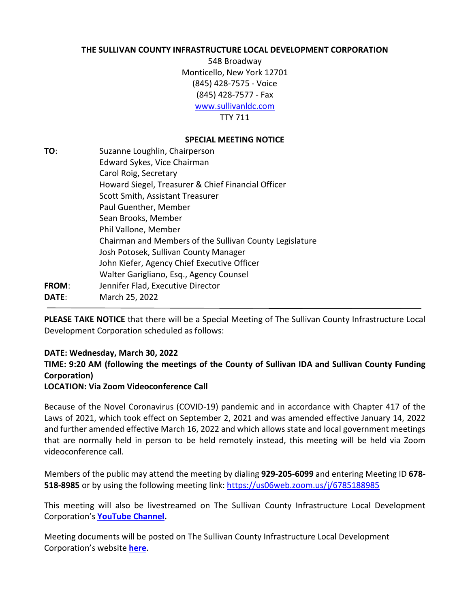### **THE SULLIVAN COUNTY INFRASTRUCTURE LOCAL DEVELOPMENT CORPORATION**

548 Broadway Monticello, New York 12701 (845) 428-7575 - Voice (845) 428-7577 - Fax [www.sullivanldc.com](http://www.scfundingcorp.com/) TTY 711

### **SPECIAL MEETING NOTICE**

**TO**: Suzanne Loughlin, Chairperson Edward Sykes, Vice Chairman Carol Roig, Secretary Howard Siegel, Treasurer & Chief Financial Officer Scott Smith, Assistant Treasurer Paul Guenther, Member Sean Brooks, Member Phil Vallone, Member Chairman and Members of the Sullivan County Legislature Josh Potosek, Sullivan County Manager John Kiefer, Agency Chief Executive Officer Walter Garigliano, Esq., Agency Counsel **FROM**: Jennifer Flad, Executive Director **DATE**: March 25, 2022

**PLEASE TAKE NOTICE** that there will be a Special Meeting of The Sullivan County Infrastructure Local Development Corporation scheduled as follows:

## **DATE: Wednesday, March 30, 2022**

**TIME: 9:20 AM (following the meetings of the County of Sullivan IDA and Sullivan County Funding Corporation)**

#### **LOCATION: Via Zoom Videoconference Call**

Because of the Novel Coronavirus (COVID-19) pandemic and in accordance with Chapter 417 of the Laws of 2021, which took effect on September 2, 2021 and was amended effective January 14, 2022 and further amended effective March 16, 2022 and which allows state and local government meetings that are normally held in person to be held remotely instead, this meeting will be held via Zoom videoconference call.

Members of the public may attend the meeting by dialing **929-205-6099** and entering Meeting ID **678- 518-8985** or by using the following meeting link: <https://us06web.zoom.us/j/6785188985>

This meeting will also be livestreamed on The Sullivan County Infrastructure Local Development Corporation's **[YouTube Channel.](https://www.youtube.com/channel/UCYeZRlz50Yw5GnD_Kn48B1A)**

Meeting documents will be posted on The Sullivan County Infrastructure Local Development Corporation's website **[here](http://www.sullivanldc.com/notices-agendas-minutes-resolutions/)**.